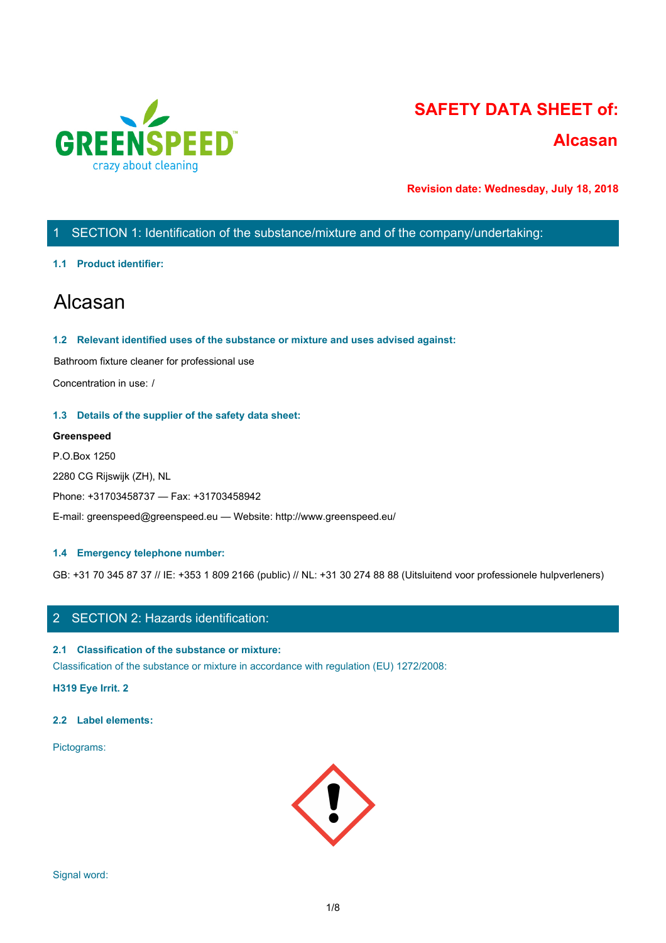

# **SAFETY DATA SHEET of:**

# **Alcasan**

**Revision date: Wednesday, July 18, 2018**

# 1 SECTION 1: Identification of the substance/mixture and of the company/undertaking:

### **1.1 Product identifier:**

# Alcasan

### **1.2 Relevant identified uses of the substance or mixture and uses advised against:**

Bathroom fixture cleaner for professional use

Concentration in use: /

### **1.3 Details of the supplier of the safety data sheet:**

### **Greenspeed**

P.O.Box 1250 2280 CG Rijswijk (ZH), NL Phone: +31703458737 — Fax: +31703458942 E-mail: greenspeed@greenspeed.eu — Website: http://www.greenspeed.eu/

### **1.4 Emergency telephone number:**

GB: +31 70 345 87 37 // IE: +353 1 809 2166 (public) // NL: +31 30 274 88 88 (Uitsluitend voor professionele hulpverleners)

## 2 SECTION 2: Hazards identification:

### **2.1 Classification of the substance or mixture:**

Classification of the substance or mixture in accordance with regulation (EU) 1272/2008:

**H319 Eye Irrit. 2**

### **2.2 Label elements:**

Pictograms:

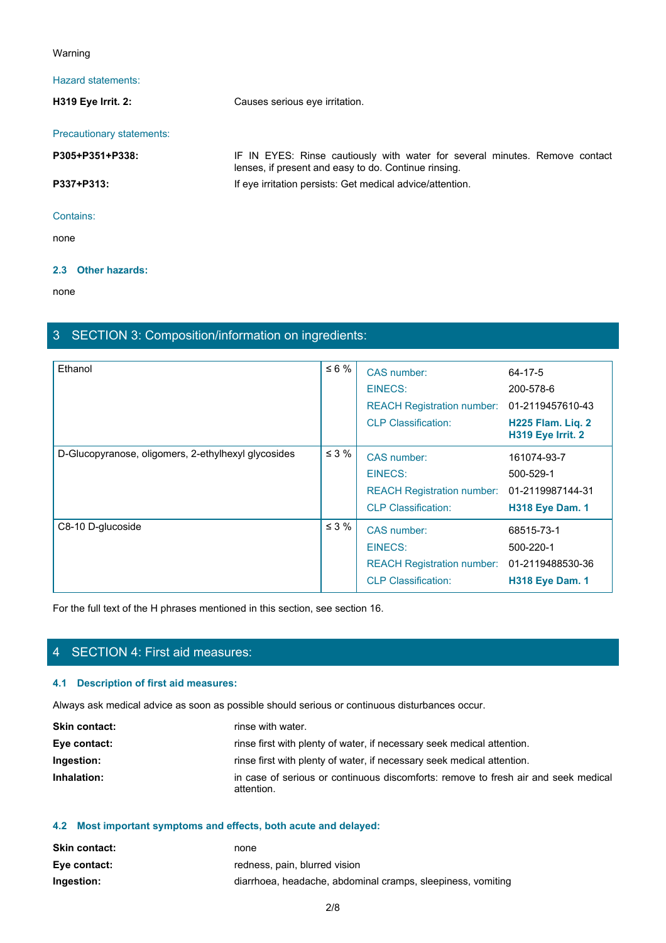### Warning

### Hazard statements:

**H319 Eye Irrit. 2:** Causes serious eye irritation. Precautionary statements: **Paramdelarity Conservants:**<br> **P305 Fye Irrit. 2:**<br> **P305+P351+P338:**<br> **P305+P351+P338:**<br> **P337+P313:**<br> **P337+P313:**<br> **P337+P313:**<br> **P337+P313:**<br> **P337+P313:**<br> **P337+P313:**<br> **P337+P313:**<br> **P337+P313:**<br> **P311:**<br> **P311:**<br> **P** lenses, if present and easy to do. Continue rinsing. **P337+P313:** If eye irritation persists: Get medical advice/attention. Contains: none and the state of the state of the state of the state of the state of the state of the state of the state of the state of the state of the state of the state of the state of the state of the state of the state of the s

### **2.3 Other hazards:**

none and the state of the state of the state of the state of the state of the state of the state of the state of the state of the state of the state of the state of the state of the state of the state of the state of the s

# 3 SECTION 3: Composition/information on ingredients:

| Ethanol                                             | $\leq 6 \%$ | CAS number:<br>EINECS:<br>REACH Registration number: 01-2119457610-43<br><b>CLP Classification:</b> | 64-17-5<br>200-578-6<br>H225 Flam. Liq. 2<br>H319 Eye Irrit. 2 |
|-----------------------------------------------------|-------------|-----------------------------------------------------------------------------------------------------|----------------------------------------------------------------|
| D-Glucopyranose, oligomers, 2-ethylhexyl glycosides | $\leq$ 3 %  | CAS number:<br>EINECS:<br>REACH Registration number: 01-2119987144-31<br><b>CLP Classification:</b> | 161074-93-7<br>500-529-1<br><b>H318 Eye Dam. 1</b>             |
| C8-10 D-glucoside                                   | $\leq$ 3 %  | CAS number:<br>EINECS:<br>REACH Registration number: 01-2119488530-36<br><b>CLP Classification:</b> | 68515-73-1<br>500-220-1<br><b>H318 Eye Dam. 1</b>              |

For the full text of the H phrases mentioned in this section, see section 16.

# 4 SECTION 4: First aid measures:

### **4.1 Description of first aid measures:**

Always ask medical advice as soon as possible should serious or continuous disturbances occur.

| <b>Skin contact:</b> | rinse with water.                                                                                |
|----------------------|--------------------------------------------------------------------------------------------------|
| Eye contact:         | rinse first with plenty of water, if necessary seek medical attention.                           |
| Ingestion:           | rinse first with plenty of water, if necessary seek medical attention.                           |
| Inhalation:          | in case of serious or continuous discomforts: remove to fresh air and seek medical<br>attention. |

# **4.2 Most important symptoms and effects, both acute and delayed:**

| <b>Skin contact:</b> | none                                                        |
|----------------------|-------------------------------------------------------------|
| Eye contact:         | redness, pain, blurred vision                               |
| Ingestion:           | diarrhoea, headache, abdominal cramps, sleepiness, vomiting |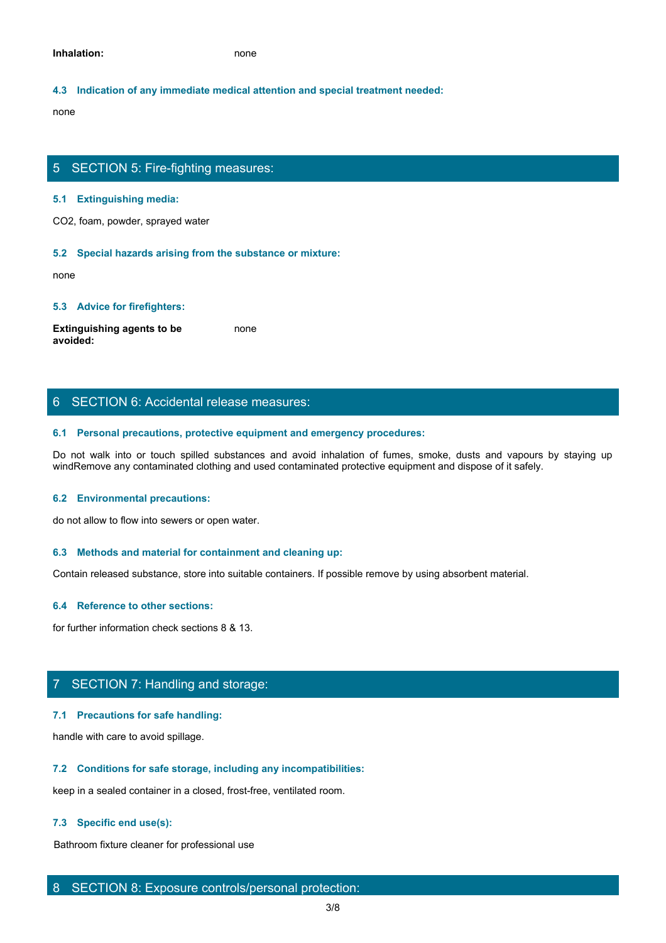### **4.3 Indication of any immediate medical attention and special treatment needed:**

none and the state of the state of the state of the state of the state of the state of the state of the state of the state of the state of the state of the state of the state of the state of the state of the state of the s

### 5 SECTION 5: Fire-fighting measures:

#### **5.1 Extinguishing media:**

CO2, foam, powder, sprayed water

#### **5.2 Special hazards arising from the substance or mixture:**

none and the state of the state of the state of the state of the state of the state of the state of the state of the state of the state of the state of the state of the state of the state of the state of the state of the s

#### **5.3 Advice for firefighters:**

**Extinguishing agents to be avoided:** none and the state of the state of the state of the state of the state of the state of the state of the state of the state of the state of the state of the state of the state of the state of the state of the state of the s

## 6 SECTION 6: Accidental release measures:

#### **6.1 Personal precautions, protective equipment and emergency procedures:**

Bo SECTION 5: Fire-fighting measures:<br>CO2, foam, powder, sprayed water<br>S2 Special hazards arising from the substance or mixture:<br>Retinguishing agents to be come<br>worlded:<br>6. SECTION 6: Accidental release measures:<br>6. Person windRemove any contaminated clothing and used contaminated protective equipment and dispose of it safely.

#### **6.2 Environmental precautions:**

do not allow to flow into sewers or open water.

#### **6.3 Methods and material for containment and cleaning up:**

Contain released substance, store into suitable containers. If possible remove by using absorbent material.

### **6.4 Reference to other sections:**

for further information check sections 8 & 13.

### 7 SECTION 7: Handling and storage:

### **7.1 Precautions for safe handling:**

handle with care to avoid spillage.

### **7.2 Conditions for safe storage, including any incompatibilities:**

keep in a sealed container in a closed, frost-free, ventilated room.

### **7.3 Specific end use(s):**

Bathroom fixture cleaner for professional use

### 8 SECTION 8: Exposure controls/personal protection: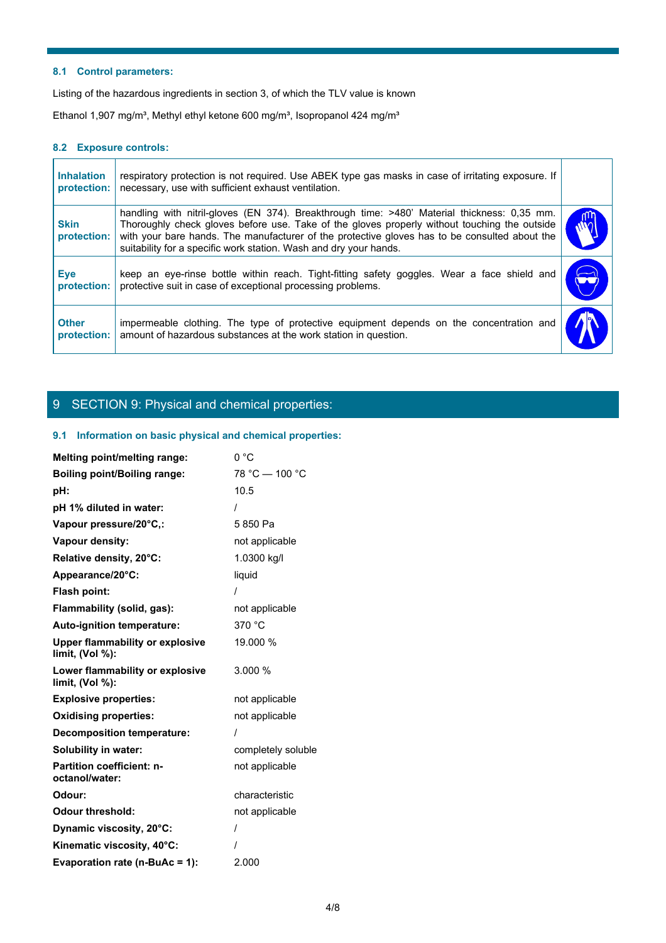### **8.1 Control parameters:**

### **8.2 Exposure controls:**

| respiratory protection is not required. Use ABEK type gas masks in case of irritating exposure. If<br>necessary, use with sufficient exhaust ventilation.                                                                                                                                                                                                         |                                                                                                                                                                                                                                                            |
|-------------------------------------------------------------------------------------------------------------------------------------------------------------------------------------------------------------------------------------------------------------------------------------------------------------------------------------------------------------------|------------------------------------------------------------------------------------------------------------------------------------------------------------------------------------------------------------------------------------------------------------|
| handling with nitril-gloves (EN 374). Breakthrough time: >480' Material thickness: 0,35 mm.<br>Thoroughly check gloves before use. Take of the gloves properly without touching the outside<br>with your bare hands. The manufacturer of the protective gloves has to be consulted about the<br>suitability for a specific work station. Wash and dry your hands. |                                                                                                                                                                                                                                                            |
| keep an eye-rinse bottle within reach. Tight-fitting safety goggles. Wear a face shield and<br>protective suit in case of exceptional processing problems.                                                                                                                                                                                                        | $\blacktriangleright$                                                                                                                                                                                                                                      |
|                                                                                                                                                                                                                                                                                                                                                                   |                                                                                                                                                                                                                                                            |
|                                                                                                                                                                                                                                                                                                                                                                   | 8.1 Control parameters:<br>Listing of the hazardous ingredients in section 3, of which the TLV value is known<br>Ethanol 1,907 mg/m <sup>3</sup> , Methyl ethyl ketone 600 mg/m <sup>3</sup> , Isopropanol 424 mg/m <sup>3</sup><br>8.2 Exposure controls: |

# 9 SECTION 9: Physical and chemical properties:

### **9.1 Information on basic physical and chemical properties:**

| Melting point/melting range:                                 | 0 °C               |
|--------------------------------------------------------------|--------------------|
| <b>Boiling point/Boiling range:</b>                          | 78 °C - 100 °C     |
| pH:                                                          | 10.5               |
| pH 1% diluted in water:                                      |                    |
| Vapour pressure/20°C,:                                       | 5850 Pa            |
| Vapour density:                                              | not applicable     |
| Relative density, 20°C:                                      | 1.0300 kg/l        |
| Appearance/20°C:                                             | liquid             |
| Flash point:                                                 |                    |
| Flammability (solid, gas):                                   | not applicable     |
| Auto-ignition temperature:                                   | 370 °C             |
| <b>Upper flammability or explosive</b><br>limit, $(Vol %)$ : | 19.000 %           |
| Lower flammability or explosive<br>limit, (Vol %):           | 3.000 %            |
| <b>Explosive properties:</b>                                 | not applicable     |
| <b>Oxidising properties:</b>                                 | not applicable     |
| <b>Decomposition temperature:</b>                            |                    |
| Solubility in water:                                         | completely soluble |
| <b>Partition coefficient: n-</b><br>octanol/water:           | not applicable     |
| Odour:                                                       | characteristic     |
| <b>Odour threshold:</b>                                      | not applicable     |
| Dynamic viscosity, 20°C:                                     |                    |
| Kinematic viscosity, 40°C:                                   |                    |
| Evaporation rate (n-BuAc = 1):                               | 2.000              |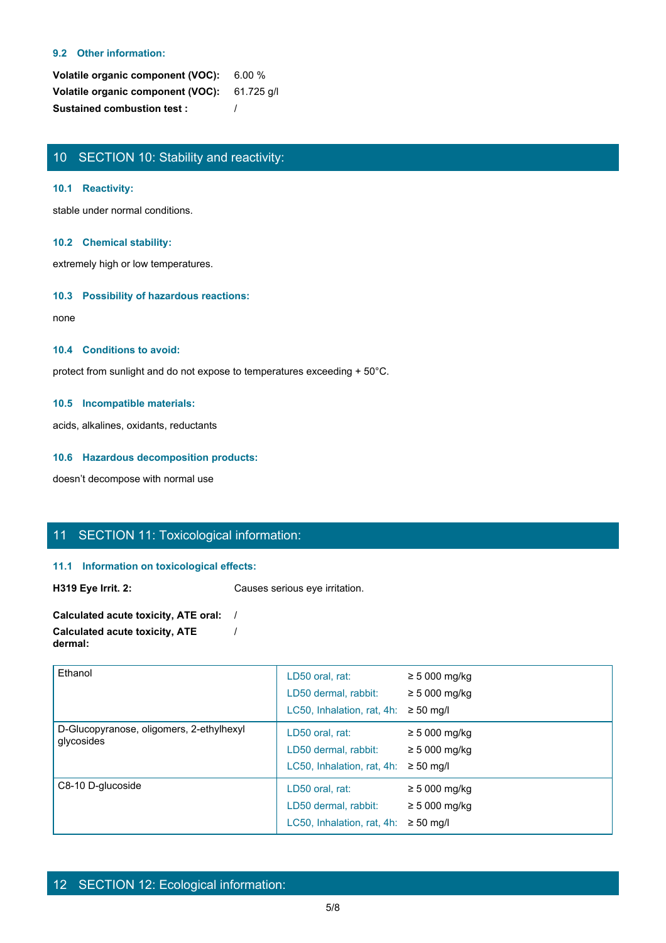### **9.2 Other information:**

**Volatile organic component (VOC):** 6.00 % **Volatile organic component (VOC):** 61.725 g/l **Sustained combustion test :** /

# 10 SECTION 10: Stability and reactivity:

### **10.1 Reactivity:**

stable under normal conditions.

### **10.2 Chemical stability:**

extremely high or low temperatures.

### **10.3 Possibility of hazardous reactions:**

none and the state of the state of the state of the state of the state of the state of the state of the state of the state of the state of the state of the state of the state of the state of the state of the state of the s

### **10.4 Conditions to avoid:**

protect from sunlight and do not expose to temperatures exceeding + 50°C.

### **10.5 Incompatible materials:**

acids, alkalines, oxidants, reductants

### **10.6 Hazardous decomposition products:**

doesn't decompose with normal use

# 11 SECTION 11: Toxicological information:

### **11.1 Information on toxicological effects:**

**H319 Eye Irrit. 2:** Causes serious eye irritation.

| Calculated acute toxicity, ATE oral:  |  |
|---------------------------------------|--|
| <b>Calculated acute toxicity, ATE</b> |  |
| dermal:                               |  |

| Ethanol                                                | LD50 oral, rat:<br>LD50 dermal, rabbit:<br>LC50, Inhalation, rat, 4h: | $\geq$ 5 000 mg/kg<br>$\geq$ 5 000 mg/kg<br>$\geq 50$ mg/l |
|--------------------------------------------------------|-----------------------------------------------------------------------|------------------------------------------------------------|
| D-Glucopyranose, oligomers, 2-ethylhexyl<br>glycosides | LD50 oral, rat:<br>LD50 dermal, rabbit:<br>LC50, Inhalation, rat, 4h: | $\geq$ 5 000 mg/kg<br>$\geq 5000$ mg/kg<br>$\geq 50$ mg/l  |
| C8-10 D-glucoside                                      | LD50 oral, rat:<br>LD50 dermal, rabbit:<br>LC50, Inhalation, rat, 4h: | $\geq$ 5 000 mg/kg<br>$\geq$ 5 000 mg/kg<br>$\geq 50$ mg/l |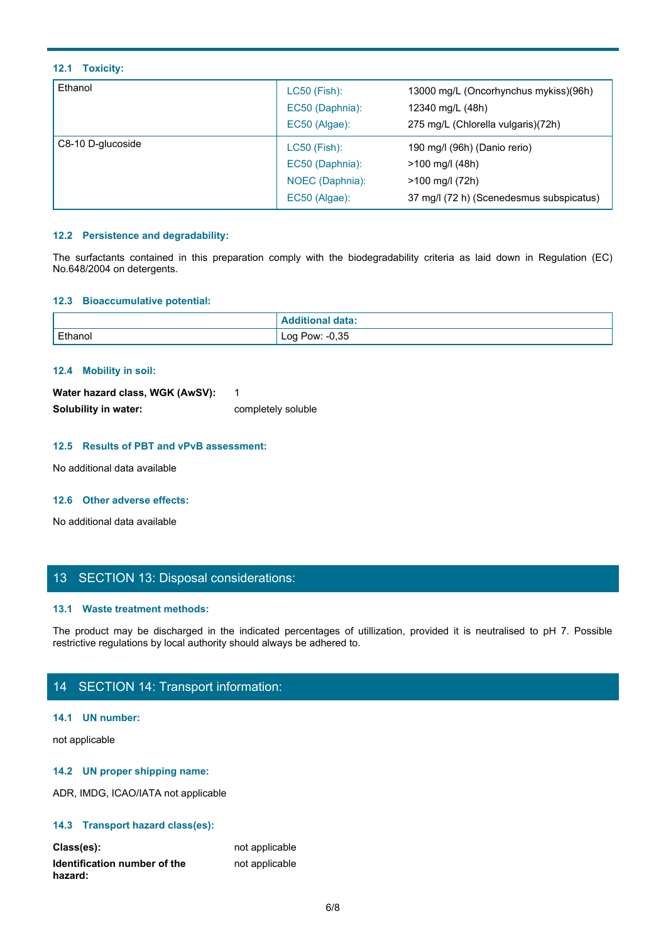### **12.1 Toxicity:**

| 12.1 Toxicity:                                                    |                                           |                                                                                                                                            |
|-------------------------------------------------------------------|-------------------------------------------|--------------------------------------------------------------------------------------------------------------------------------------------|
| Ethanol                                                           | LC50 (Fish):<br>EC50 (Daphnia):           | 13000 mg/L (Oncorhynchus mykiss)(96h)<br>12340 mg/L (48h)                                                                                  |
|                                                                   | EC50 (Algae):                             | 275 mg/L (Chlorella vulgaris)(72h)                                                                                                         |
| C8-10 D-glucoside                                                 | LC50 (Fish):<br>EC50 (Daphnia):           | 190 mg/l (96h) (Danio rerio)<br>>100 mg/l (48h)                                                                                            |
|                                                                   | EC50 (Algae):                             | 37 mg/l (72 h) (Scenedesmus subspicatus)                                                                                                   |
| 12.2 Persistence and degradability:<br>No.648/2004 on detergents. | NOEC (Daphnia):                           | >100 mg/l (72h)<br>The surfactants contained in this preparation comply with the biodegradability criteria as laid down in Regulation (EC) |
| 12.3 Bioaccumulative potential:                                   |                                           |                                                                                                                                            |
| Ethanol                                                           | <b>Additional data:</b><br>Log Pow: -0,35 |                                                                                                                                            |

### **12.2 Persistence and degradability:**

### **12.3 Bioaccumulative potential:**

| 12.3 Bioaccumulative potential:                                                                                                                                                                                                                                                                                                    |                         |                                                                                                                          |
|------------------------------------------------------------------------------------------------------------------------------------------------------------------------------------------------------------------------------------------------------------------------------------------------------------------------------------|-------------------------|--------------------------------------------------------------------------------------------------------------------------|
|                                                                                                                                                                                                                                                                                                                                    | <b>Additional data:</b> |                                                                                                                          |
| Ethanol                                                                                                                                                                                                                                                                                                                            | Log Pow: -0,35          |                                                                                                                          |
|                                                                                                                                                                                                                                                                                                                                    |                         |                                                                                                                          |
| 12.4 Mobility in soil:                                                                                                                                                                                                                                                                                                             |                         |                                                                                                                          |
| Water hazard class, WGK (AwSV):                                                                                                                                                                                                                                                                                                    | $\mathbf{1}$            |                                                                                                                          |
| Solubility in water:                                                                                                                                                                                                                                                                                                               | completely soluble      |                                                                                                                          |
|                                                                                                                                                                                                                                                                                                                                    |                         |                                                                                                                          |
| 12.5 Results of PBT and vPvB assessment:                                                                                                                                                                                                                                                                                           |                         |                                                                                                                          |
| No additional data available                                                                                                                                                                                                                                                                                                       |                         |                                                                                                                          |
|                                                                                                                                                                                                                                                                                                                                    |                         |                                                                                                                          |
| 12.6 Other adverse effects:                                                                                                                                                                                                                                                                                                        |                         |                                                                                                                          |
| No additional data available                                                                                                                                                                                                                                                                                                       |                         |                                                                                                                          |
|                                                                                                                                                                                                                                                                                                                                    |                         |                                                                                                                          |
|                                                                                                                                                                                                                                                                                                                                    |                         |                                                                                                                          |
| 13 SECTION 13: Disposal considerations:                                                                                                                                                                                                                                                                                            |                         |                                                                                                                          |
|                                                                                                                                                                                                                                                                                                                                    |                         |                                                                                                                          |
| 13.1 Waste treatment methods:                                                                                                                                                                                                                                                                                                      |                         |                                                                                                                          |
|                                                                                                                                                                                                                                                                                                                                    |                         | The product may be discharged in the indicated percentages of utillization, provided it is neutralised to pH 7. Possible |
| restrictive regulations by local authority should always be adhered to.                                                                                                                                                                                                                                                            |                         |                                                                                                                          |
|                                                                                                                                                                                                                                                                                                                                    |                         |                                                                                                                          |
| 14 SECTION 14: Transport information:                                                                                                                                                                                                                                                                                              |                         |                                                                                                                          |
|                                                                                                                                                                                                                                                                                                                                    |                         |                                                                                                                          |
| $\mathbf{A}$ $\mathbf{A}$ $\mathbf{A}$ $\mathbf{A}$ $\mathbf{A}$ $\mathbf{A}$ $\mathbf{A}$ $\mathbf{A}$ $\mathbf{A}$ $\mathbf{A}$ $\mathbf{A}$ $\mathbf{A}$ $\mathbf{A}$ $\mathbf{A}$ $\mathbf{A}$ $\mathbf{A}$ $\mathbf{A}$ $\mathbf{A}$ $\mathbf{A}$ $\mathbf{A}$ $\mathbf{A}$ $\mathbf{A}$ $\mathbf{A}$ $\mathbf{A}$ $\mathbf{$ |                         |                                                                                                                          |

### **12.4 Mobility in soil:**

| Water hazard class, WGK (AwSV): |                    |
|---------------------------------|--------------------|
| Solubility in water:            | completely soluble |

### **12.5 Results of PBT and vPvB assessment:**

### **12.6 Other adverse effects:**

# 13 SECTION 13: Disposal considerations:

### **13.1 Waste treatment methods:**

# 14 SECTION 14: Transport information:

### **14.1 UN number:**

not applicable

### **14.2 UN proper shipping name:**

ADR, IMDG, ICAO/IATA not applicable

### **14.3 Transport hazard class(es):**

| Class(es):                   | not applicable |
|------------------------------|----------------|
| Identification number of the | not applicable |
| hazard:                      |                |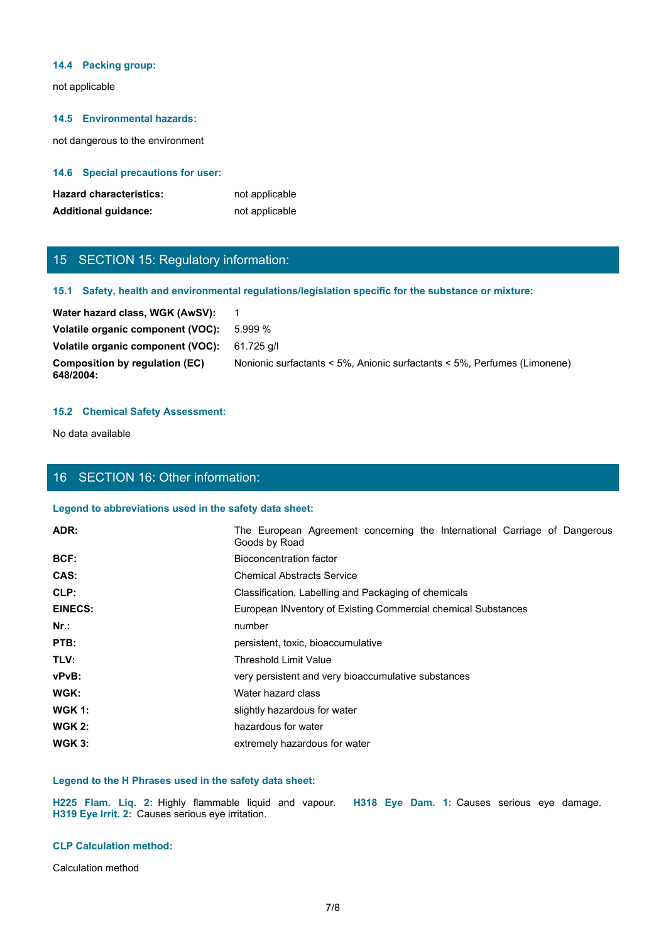#### **14.4 Packing group:**

not applicable

### **14.5 Environmental hazards:**

not dangerous to the environment

### **14.6 Special precautions for user:**

| <b>Hazard characteristics:</b> | not applicable |
|--------------------------------|----------------|
| <b>Additional guidance:</b>    | not applicable |

# 15 SECTION 15: Regulatory information:

### **15.1 Safety, health and environmental regulations/legislation specific for the substance or mixture:**

| 5.999 %                                                                  |
|--------------------------------------------------------------------------|
| Volatile organic component (VOC):<br>61.725 a/l                          |
| Nonionic surfactants < 5%, Anionic surfactants < 5%, Perfumes (Limonene) |
|                                                                          |

### **15.2 Chemical Safety Assessment:**

# 16 SECTION 16: Other information:

### **Legend to abbreviations used in the safety data sheet:**

| <b>Hazard characteristics:</b><br><b>Additional guidance:</b> | not applicable<br>not applicable                                                                     |
|---------------------------------------------------------------|------------------------------------------------------------------------------------------------------|
| 15 SECTION 15: Regulatory information:                        |                                                                                                      |
|                                                               | 15.1 Safety, health and environmental regulations/legislation specific for the substance or mixture: |
| Water hazard class, WGK (AwSV):                               | $\overline{1}$                                                                                       |
| Volatile organic component (VOC):                             | 5.999 %                                                                                              |
| Volatile organic component (VOC):                             | 61.725 g/l                                                                                           |
| <b>Composition by regulation (EC)</b><br>648/2004:            | Nonionic surfactants < 5%, Anionic surfactants < 5%, Perfumes (Limonene)                             |
| <b>15.2 Chemical Safety Assessment:</b>                       |                                                                                                      |
| No data available                                             |                                                                                                      |
|                                                               |                                                                                                      |
| 16 SECTION 16: Other information:                             |                                                                                                      |
| Legend to abbreviations used in the safety data sheet:        |                                                                                                      |
| ADR:                                                          | The European Agreement concerning the International Carriage of Dangerous<br>Goods by Road           |
| BCF:                                                          | <b>Bioconcentration factor</b>                                                                       |
| CAS:                                                          | <b>Chemical Abstracts Service</b>                                                                    |
| CLP:                                                          | Classification, Labelling and Packaging of chemicals                                                 |
| <b>EINECS:</b>                                                | European INventory of Existing Commercial chemical Substances                                        |
| Nr.:                                                          | number                                                                                               |
| PTB:                                                          | persistent, toxic, bioaccumulative                                                                   |
| TLV:                                                          | <b>Threshold Limit Value</b>                                                                         |
| vPvB:                                                         | very persistent and very bioaccumulative substances                                                  |
| WGK:                                                          | Water hazard class                                                                                   |
| <b>WGK 1:</b>                                                 | slightly hazardous for water                                                                         |
| <b>WGK 2:</b>                                                 | hazardous for water                                                                                  |
| <b>WGK 3:</b>                                                 | extremely hazardous for water                                                                        |
|                                                               |                                                                                                      |
| Legend to the H Phrases used in the safety data sheet:        |                                                                                                      |
| H319 Eye Irrit. 2: Causes serious eye irritation.             | H225 Flam. Liq. 2: Highly flammable liquid and vapour. H318 Eye Dam. 1: Causes serious eye damage.   |
| <b>CLP Calculation method:</b>                                |                                                                                                      |
| Calculation method                                            |                                                                                                      |

### **Legend to the H Phrases used in the safety data sheet:**

#### **CLP Calculation method:**